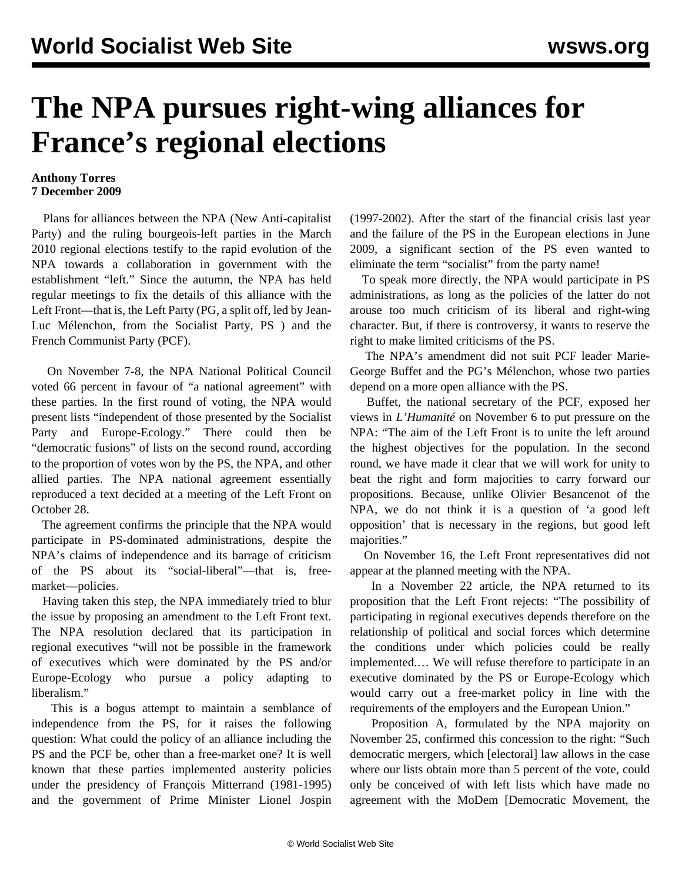## **The NPA pursues right-wing alliances for France's regional elections**

## **Anthony Torres 7 December 2009**

 Plans for alliances between the NPA (New Anti-capitalist Party) and the ruling bourgeois-left parties in the March 2010 regional elections testify to the rapid evolution of the NPA towards a collaboration in government with the establishment "left." Since the autumn, the NPA has held regular meetings to fix the details of this alliance with the Left Front—that is, the Left Party (PG, a split off, led by Jean-Luc Mélenchon, from the Socialist Party, PS ) and the French Communist Party (PCF).

 On November 7-8, the NPA National Political Council voted 66 percent in favour of "a national agreement" with these parties. In the first round of voting, the NPA would present lists "independent of those presented by the Socialist Party and Europe-Ecology." There could then be "democratic fusions" of lists on the second round, according to the proportion of votes won by the PS, the NPA, and other allied parties. The NPA national agreement essentially reproduced a text decided at a meeting of the Left Front on October 28.

 The agreement confirms the principle that the NPA would participate in PS-dominated administrations, despite the NPA's claims of independence and its barrage of criticism of the PS about its "social-liberal"—that is, freemarket—policies.

 Having taken this step, the NPA immediately tried to blur the issue by proposing an amendment to the Left Front text. The NPA resolution declared that its participation in regional executives "will not be possible in the framework of executives which were dominated by the PS and/or Europe-Ecology who pursue a policy adapting to liberalism."

 This is a bogus attempt to maintain a semblance of independence from the PS, for it raises the following question: What could the policy of an alliance including the PS and the PCF be, other than a free-market one? It is well known that these parties implemented austerity policies under the presidency of François Mitterrand (1981-1995) and the government of Prime Minister Lionel Jospin (1997-2002). After the start of the financial crisis last year and the failure of the PS in the European elections in June 2009, a significant section of the PS even wanted to eliminate the term "socialist" from the party name!

 To speak more directly, the NPA would participate in PS administrations, as long as the policies of the latter do not arouse too much criticism of its liberal and right-wing character. But, if there is controversy, it wants to reserve the right to make limited criticisms of the PS.

 The NPA's amendment did not suit PCF leader Marie-George Buffet and the PG's Mélenchon, whose two parties depend on a more open alliance with the PS.

 Buffet, the national secretary of the PCF, exposed her views in *L'Humanité* on November 6 to put pressure on the NPA: "The aim of the Left Front is to unite the left around the highest objectives for the population. In the second round, we have made it clear that we will work for unity to beat the right and form majorities to carry forward our propositions. Because, unlike Olivier Besancenot of the NPA, we do not think it is a question of 'a good left opposition' that is necessary in the regions, but good left majorities."

 On November 16, the Left Front representatives did not appear at the planned meeting with the NPA.

 In a November 22 article, the NPA returned to its proposition that the Left Front rejects: "The possibility of participating in regional executives depends therefore on the relationship of political and social forces which determine the conditions under which policies could be really implemented.… We will refuse therefore to participate in an executive dominated by the PS or Europe-Ecology which would carry out a free-market policy in line with the requirements of the employers and the European Union."

 Proposition A, formulated by the NPA majority on November 25, confirmed this concession to the right: "Such democratic mergers, which [electoral] law allows in the case where our lists obtain more than 5 percent of the vote, could only be conceived of with left lists which have made no agreement with the MoDem [Democratic Movement, the